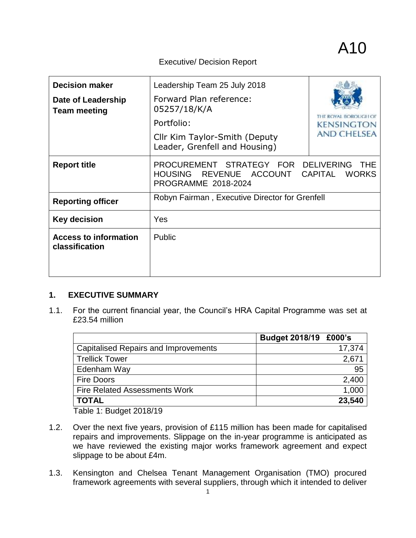#### Executive/ Decision Report

| <b>Decision maker</b><br>Date of Leadership<br><b>Team meeting</b> | Leadership Team 25 July 2018<br>Forward Plan reference:<br>05257/18/K/A<br>Portfolio:<br>Cllr Kim Taylor-Smith (Deputy<br>Leader, Grenfell and Housing) | <b>KENSINGTON</b><br><b>AND CHELSEA</b> |
|--------------------------------------------------------------------|---------------------------------------------------------------------------------------------------------------------------------------------------------|-----------------------------------------|
| <b>Report title</b>                                                | PROCUREMENT STRATEGY FOR DELIVERING<br>REVENUE<br><b>HOUSING</b><br><b>ACCOUNT</b><br><b>PROGRAMME 2018-2024</b>                                        | THF<br><b>CAPITAL</b><br><b>WORKS</b>   |
| <b>Reporting officer</b>                                           | Robyn Fairman, Executive Director for Grenfell                                                                                                          |                                         |
| <b>Key decision</b>                                                | Yes                                                                                                                                                     |                                         |
| <b>Access to information</b><br>classification                     | <b>Public</b>                                                                                                                                           |                                         |

# **1. EXECUTIVE SUMMARY**

1.1. For the current financial year, the Council's HRA Capital Programme was set at £23.54 million

|                                             | Budget 2018/19 £000's |        |
|---------------------------------------------|-----------------------|--------|
| <b>Capitalised Repairs and Improvements</b> |                       | 17,374 |
| <b>Trellick Tower</b>                       |                       | 2,67'  |
| Edenham Way                                 |                       | 95     |
| <b>Fire Doors</b>                           |                       | 2,400  |
| <b>Fire Related Assessments Work</b>        |                       | 1,000  |
| <b>TOTAL</b>                                |                       | 23,540 |

Table 1: Budget 2018/19

- 1.2. Over the next five years, provision of £115 million has been made for capitalised repairs and improvements. Slippage on the in-year programme is anticipated as we have reviewed the existing major works framework agreement and expect slippage to be about £4m.
- 1.3. Kensington and Chelsea Tenant Management Organisation (TMO) procured framework agreements with several suppliers, through which it intended to deliver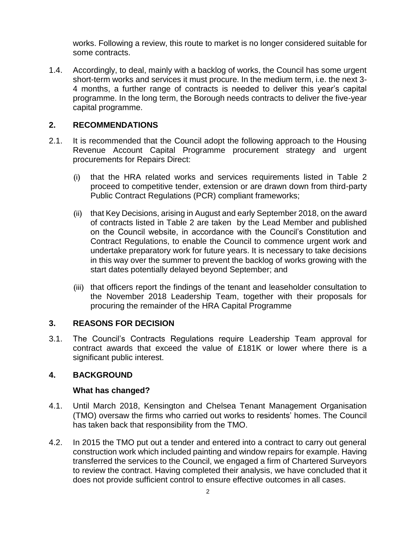works. Following a review, this route to market is no longer considered suitable for some contracts.

1.4. Accordingly, to deal, mainly with a backlog of works, the Council has some urgent short-term works and services it must procure. In the medium term, i.e. the next 3- 4 months, a further range of contracts is needed to deliver this year's capital programme. In the long term, the Borough needs contracts to deliver the five-year capital programme.

# **2. RECOMMENDATIONS**

- 2.1. It is recommended that the Council adopt the following approach to the Housing Revenue Account Capital Programme procurement strategy and urgent procurements for Repairs Direct:
	- (i) that the HRA related works and services requirements listed in Table 2 proceed to competitive tender, extension or are drawn down from third-party Public Contract Regulations (PCR) compliant frameworks;
	- (ii) that Key Decisions, arising in August and early September 2018, on the award of contracts listed in Table 2 are taken by the Lead Member and published on the Council website, in accordance with the Council's Constitution and Contract Regulations, to enable the Council to commence urgent work and undertake preparatory work for future years. It is necessary to take decisions in this way over the summer to prevent the backlog of works growing with the start dates potentially delayed beyond September; and
	- (iii) that officers report the findings of the tenant and leaseholder consultation to the November 2018 Leadership Team, together with their proposals for procuring the remainder of the HRA Capital Programme

# **3. REASONS FOR DECISION**

3.1. The Council's Contracts Regulations require Leadership Team approval for contract awards that exceed the value of £181K or lower where there is a significant public interest.

#### **4. BACKGROUND**

#### **What has changed?**

- 4.1. Until March 2018, Kensington and Chelsea Tenant Management Organisation (TMO) oversaw the firms who carried out works to residents' homes. The Council has taken back that responsibility from the TMO.
- 4.2. In 2015 the TMO put out a tender and entered into a contract to carry out general construction work which included painting and window repairs for example. Having transferred the services to the Council, we engaged a firm of Chartered Surveyors to review the contract. Having completed their analysis, we have concluded that it does not provide sufficient control to ensure effective outcomes in all cases.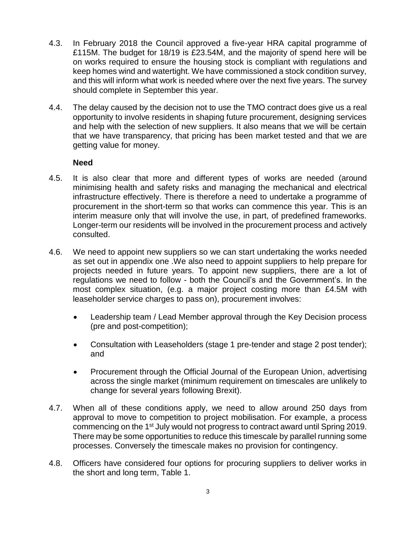- 4.3. In February 2018 the Council approved a five-year HRA capital programme of £115M. The budget for 18/19 is £23.54M, and the majority of spend here will be on works required to ensure the housing stock is compliant with regulations and keep homes wind and watertight. We have commissioned a stock condition survey, and this will inform what work is needed where over the next five years. The survey should complete in September this year.
- 4.4. The delay caused by the decision not to use the TMO contract does give us a real opportunity to involve residents in shaping future procurement, designing services and help with the selection of new suppliers. It also means that we will be certain that we have transparency, that pricing has been market tested and that we are getting value for money.

#### **Need**

- 4.5. It is also clear that more and different types of works are needed (around minimising health and safety risks and managing the mechanical and electrical infrastructure effectively. There is therefore a need to undertake a programme of procurement in the short-term so that works can commence this year. This is an interim measure only that will involve the use, in part, of predefined frameworks. Longer-term our residents will be involved in the procurement process and actively consulted.
- 4.6. We need to appoint new suppliers so we can start undertaking the works needed as set out in appendix one .We also need to appoint suppliers to help prepare for projects needed in future years. To appoint new suppliers, there are a lot of regulations we need to follow - both the Council's and the Government's. In the most complex situation, (e.g. a major project costing more than £4.5M with leaseholder service charges to pass on), procurement involves:
	- Leadership team / Lead Member approval through the Key Decision process (pre and post-competition);
	- Consultation with Leaseholders (stage 1 pre-tender and stage 2 post tender); and
	- Procurement through the Official Journal of the European Union, advertising across the single market (minimum requirement on timescales are unlikely to change for several years following Brexit).
- 4.7. When all of these conditions apply, we need to allow around 250 days from approval to move to competition to project mobilisation. For example, a process commencing on the 1<sup>st</sup> July would not progress to contract award until Spring 2019. There may be some opportunities to reduce this timescale by parallel running some processes. Conversely the timescale makes no provision for contingency.
- 4.8. Officers have considered four options for procuring suppliers to deliver works in the short and long term, Table 1.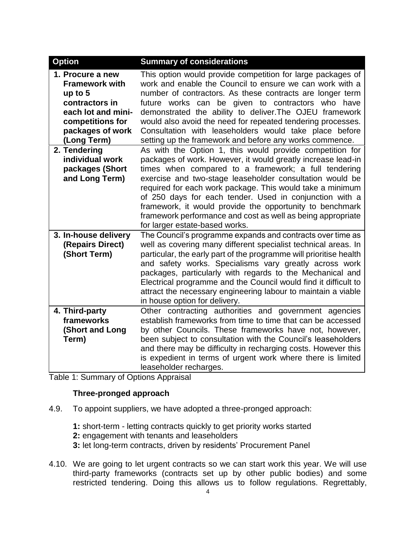| <b>Option</b>                                                                                                                                         | <b>Summary of considerations</b>                                                                                                                                                                                                                                                                                                                                                                                                                                                                                                  |
|-------------------------------------------------------------------------------------------------------------------------------------------------------|-----------------------------------------------------------------------------------------------------------------------------------------------------------------------------------------------------------------------------------------------------------------------------------------------------------------------------------------------------------------------------------------------------------------------------------------------------------------------------------------------------------------------------------|
| 1. Procure a new<br><b>Framework with</b><br>up to $5$<br>contractors in<br>each lot and mini-<br>competitions for<br>packages of work<br>(Long Term) | This option would provide competition for large packages of<br>work and enable the Council to ensure we can work with a<br>number of contractors. As these contracts are longer term<br>future works can be given to contractors who have<br>demonstrated the ability to deliver. The OJEU framework<br>would also avoid the need for repeated tendering processes.<br>Consultation with leaseholders would take place before<br>setting up the framework and before any works commence.                                          |
| 2. Tendering<br>individual work<br>packages (Short<br>and Long Term)                                                                                  | As with the Option 1, this would provide competition for<br>packages of work. However, it would greatly increase lead-in<br>times when compared to a framework; a full tendering<br>exercise and two-stage leaseholder consultation would be<br>required for each work package. This would take a minimum<br>of 250 days for each tender. Used in conjunction with a<br>framework, it would provide the opportunity to benchmark<br>framework performance and cost as well as being appropriate<br>for larger estate-based works. |
| 3. In-house delivery<br>(Repairs Direct)<br>(Short Term)                                                                                              | The Council's programme expands and contracts over time as<br>well as covering many different specialist technical areas. In<br>particular, the early part of the programme will prioritise health<br>and safety works. Specialisms vary greatly across work<br>packages, particularly with regards to the Mechanical and<br>Electrical programme and the Council would find it difficult to<br>attract the necessary engineering labour to maintain a viable<br>in house option for delivery.                                    |
| 4. Third-party<br>frameworks<br>(Short and Long<br>Term)                                                                                              | Other contracting authorities and government agencies<br>establish frameworks from time to time that can be accessed<br>by other Councils. These frameworks have not, however,<br>been subject to consultation with the Council's leaseholders<br>and there may be difficulty in recharging costs. However this<br>is expedient in terms of urgent work where there is limited<br>leaseholder recharges.                                                                                                                          |

Table 1: Summary of Options Appraisal

# **Three-pronged approach**

- 4.9. To appoint suppliers, we have adopted a three-pronged approach:
	- **1:** short-term letting contracts quickly to get priority works started
	- **2:** engagement with tenants and leaseholders
	- **3:** let long-term contracts, driven by residents' Procurement Panel
- 4.10. We are going to let urgent contracts so we can start work this year. We will use third-party frameworks (contracts set up by other public bodies) and some restricted tendering. Doing this allows us to follow regulations. Regrettably,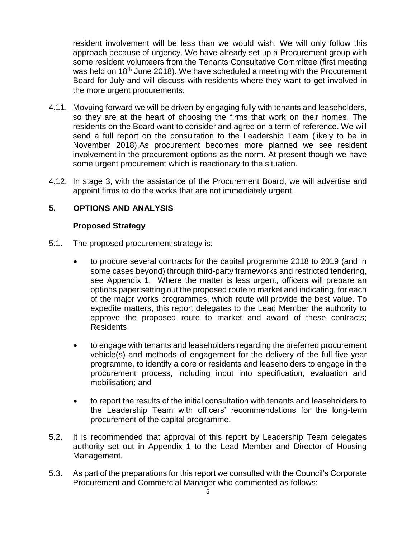resident involvement will be less than we would wish. We will only follow this approach because of urgency. We have already set up a Procurement group with some resident volunteers from the Tenants Consultative Committee (first meeting was held on 18<sup>th</sup> June 2018). We have scheduled a meeting with the Procurement Board for July and will discuss with residents where they want to get involved in the more urgent procurements.

- 4.11. Movuing forward we will be driven by engaging fully with tenants and leaseholders, so they are at the heart of choosing the firms that work on their homes. The residents on the Board want to consider and agree on a term of reference. We will send a full report on the consultation to the Leadership Team (likely to be in November 2018).As procurement becomes more planned we see resident involvement in the procurement options as the norm. At present though we have some urgent procurement which is reactionary to the situation.
- 4.12. In stage 3, with the assistance of the Procurement Board, we will advertise and appoint firms to do the works that are not immediately urgent.

# **5. OPTIONS AND ANALYSIS**

#### **Proposed Strategy**

- 5.1. The proposed procurement strategy is:
	- to procure several contracts for the capital programme 2018 to 2019 (and in some cases beyond) through third-party frameworks and restricted tendering, see Appendix 1. Where the matter is less urgent, officers will prepare an options paper setting out the proposed route to market and indicating, for each of the major works programmes, which route will provide the best value. To expedite matters, this report delegates to the Lead Member the authority to approve the proposed route to market and award of these contracts; Residents
	- to engage with tenants and leaseholders regarding the preferred procurement vehicle(s) and methods of engagement for the delivery of the full five-year programme, to identify a core or residents and leaseholders to engage in the procurement process, including input into specification, evaluation and mobilisation; and
	- to report the results of the initial consultation with tenants and leaseholders to the Leadership Team with officers' recommendations for the long-term procurement of the capital programme.
- 5.2. It is recommended that approval of this report by Leadership Team delegates authority set out in Appendix 1 to the Lead Member and Director of Housing Management.
- 5.3. As part of the preparations for this report we consulted with the Council's Corporate Procurement and Commercial Manager who commented as follows: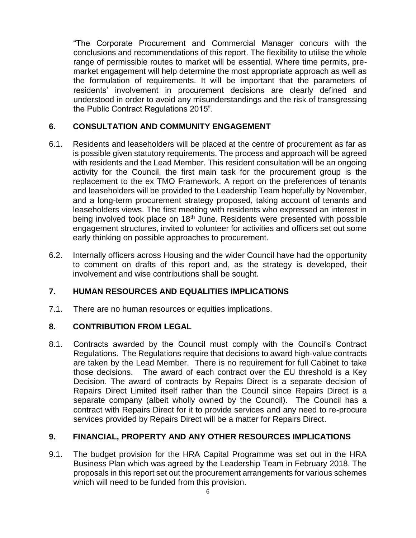"The Corporate Procurement and Commercial Manager concurs with the conclusions and recommendations of this report. The flexibility to utilise the whole range of permissible routes to market will be essential. Where time permits, premarket engagement will help determine the most appropriate approach as well as the formulation of requirements. It will be important that the parameters of residents' involvement in procurement decisions are clearly defined and understood in order to avoid any misunderstandings and the risk of transgressing the Public Contract Regulations 2015".

# **6. CONSULTATION AND COMMUNITY ENGAGEMENT**

- 6.1. Residents and leaseholders will be placed at the centre of procurement as far as is possible given statutory requirements. The process and approach will be agreed with residents and the Lead Member. This resident consultation will be an ongoing activity for the Council, the first main task for the procurement group is the replacement to the ex TMO Framework. A report on the preferences of tenants and leaseholders will be provided to the Leadership Team hopefully by November, and a long-term procurement strategy proposed, taking account of tenants and leaseholders views. The first meeting with residents who expressed an interest in being involved took place on 18<sup>th</sup> June. Residents were presented with possible engagement structures, invited to volunteer for activities and officers set out some early thinking on possible approaches to procurement.
- 6.2. Internally officers across Housing and the wider Council have had the opportunity to comment on drafts of this report and, as the strategy is developed, their involvement and wise contributions shall be sought.

# **7. HUMAN RESOURCES AND EQUALITIES IMPLICATIONS**

7.1. There are no human resources or equities implications.

# **8. CONTRIBUTION FROM LEGAL**

8.1. Contracts awarded by the Council must comply with the Council's Contract Regulations. The Regulations require that decisions to award high-value contracts are taken by the Lead Member. There is no requirement for full Cabinet to take those decisions. The award of each contract over the EU threshold is a Key Decision. The award of contracts by Repairs Direct is a separate decision of Repairs Direct Limited itself rather than the Council since Repairs Direct is a separate company (albeit wholly owned by the Council). The Council has a contract with Repairs Direct for it to provide services and any need to re-procure services provided by Repairs Direct will be a matter for Repairs Direct.

# **9. FINANCIAL, PROPERTY AND ANY OTHER RESOURCES IMPLICATIONS**

9.1. The budget provision for the HRA Capital Programme was set out in the HRA Business Plan which was agreed by the Leadership Team in February 2018. The proposals in this report set out the procurement arrangements for various schemes which will need to be funded from this provision.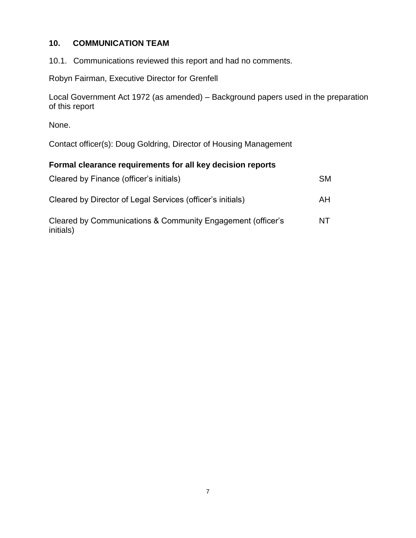# **10. COMMUNICATION TEAM**

10.1. Communications reviewed this report and had no comments.

Robyn Fairman, Executive Director for Grenfell

Local Government Act 1972 (as amended) – Background papers used in the preparation of this report

None.

Contact officer(s): Doug Goldring, Director of Housing Management

# **Formal clearance requirements for all key decision reports**

| Cleared by Finance (officer's initials)                     | <b>SM</b> |
|-------------------------------------------------------------|-----------|
| Cleared by Director of Legal Services (officer's initials)  | AH        |
| Cleared by Communications & Community Engagement (officer's | NT.       |

initials)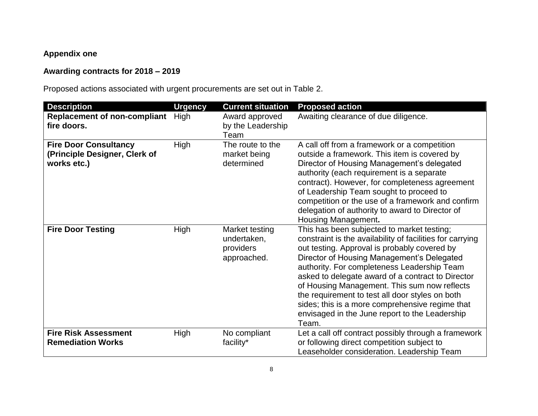# **Appendix one**

# **Awarding contracts for 2018 – 2019**

Proposed actions associated with urgent procurements are set out in Table 2.

| <b>Description</b>                                                           | <b>Urgency</b> | <b>Current situation</b>                                  | <b>Proposed action</b>                                                                                                                                                                                                                                                                                                                                                                                                                                                                                                     |
|------------------------------------------------------------------------------|----------------|-----------------------------------------------------------|----------------------------------------------------------------------------------------------------------------------------------------------------------------------------------------------------------------------------------------------------------------------------------------------------------------------------------------------------------------------------------------------------------------------------------------------------------------------------------------------------------------------------|
| <b>Replacement of non-compliant</b><br>fire doors.                           | High           | Award approved<br>by the Leadership<br>Team               | Awaiting clearance of due diligence.                                                                                                                                                                                                                                                                                                                                                                                                                                                                                       |
| <b>Fire Door Consultancy</b><br>(Principle Designer, Clerk of<br>works etc.) | High           | The route to the<br>market being<br>determined            | A call off from a framework or a competition<br>outside a framework. This item is covered by<br>Director of Housing Management's delegated<br>authority (each requirement is a separate<br>contract). However, for completeness agreement<br>of Leadership Team sought to proceed to<br>competition or the use of a framework and confirm<br>delegation of authority to award to Director of<br>Housing Management.                                                                                                        |
| <b>Fire Door Testing</b>                                                     | High           | Market testing<br>undertaken,<br>providers<br>approached. | This has been subjected to market testing;<br>constraint is the availability of facilities for carrying<br>out testing. Approval is probably covered by<br>Director of Housing Management's Delegated<br>authority. For completeness Leadership Team<br>asked to delegate award of a contract to Director<br>of Housing Management. This sum now reflects<br>the requirement to test all door styles on both<br>sides; this is a more comprehensive regime that<br>envisaged in the June report to the Leadership<br>Team. |
| <b>Fire Risk Assessment</b><br><b>Remediation Works</b>                      | High           | No compliant<br>facility*                                 | Let a call off contract possibly through a framework<br>or following direct competition subject to<br>Leaseholder consideration. Leadership Team                                                                                                                                                                                                                                                                                                                                                                           |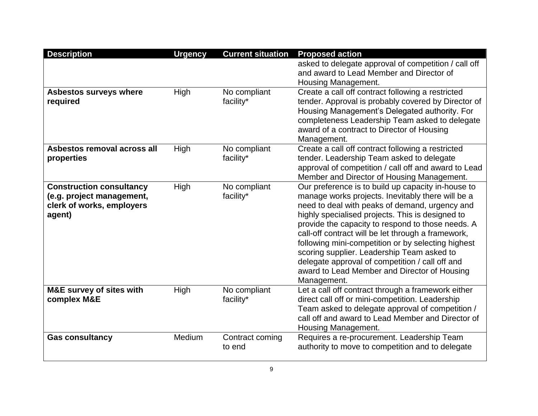| <b>Description</b>                  | <b>Urgency</b> | <b>Current situation</b> | <b>Proposed action</b>                                                                             |
|-------------------------------------|----------------|--------------------------|----------------------------------------------------------------------------------------------------|
|                                     |                |                          | asked to delegate approval of competition / call off                                               |
|                                     |                |                          | and award to Lead Member and Director of                                                           |
|                                     |                |                          | Housing Management.                                                                                |
| Asbestos surveys where              | High           | No compliant             | Create a call off contract following a restricted                                                  |
| required                            |                | facility*                | tender. Approval is probably covered by Director of                                                |
|                                     |                |                          | Housing Management's Delegated authority. For                                                      |
|                                     |                |                          | completeness Leadership Team asked to delegate                                                     |
|                                     |                |                          | award of a contract to Director of Housing                                                         |
|                                     |                |                          | Management.                                                                                        |
| Asbestos removal across all         | High           | No compliant             | Create a call off contract following a restricted                                                  |
| properties                          |                | facility*                | tender. Leadership Team asked to delegate                                                          |
|                                     |                |                          | approval of competition / call off and award to Lead                                               |
|                                     |                |                          | Member and Director of Housing Management.                                                         |
| <b>Construction consultancy</b>     | High           | No compliant             | Our preference is to build up capacity in-house to                                                 |
| (e.g. project management,           |                | facility*                | manage works projects. Inevitably there will be a                                                  |
| clerk of works, employers           |                |                          | need to deal with peaks of demand, urgency and<br>highly specialised projects. This is designed to |
| agent)                              |                |                          | provide the capacity to respond to those needs. A                                                  |
|                                     |                |                          | call-off contract will be let through a framework,                                                 |
|                                     |                |                          | following mini-competition or by selecting highest                                                 |
|                                     |                |                          | scoring supplier. Leadership Team asked to                                                         |
|                                     |                |                          | delegate approval of competition / call off and                                                    |
|                                     |                |                          | award to Lead Member and Director of Housing                                                       |
|                                     |                |                          | Management.                                                                                        |
| <b>M&amp;E survey of sites with</b> | High           | No compliant             | Let a call off contract through a framework either                                                 |
| complex M&E                         |                | facility*                | direct call off or mini-competition. Leadership                                                    |
|                                     |                |                          | Team asked to delegate approval of competition /                                                   |
|                                     |                |                          | call off and award to Lead Member and Director of                                                  |
|                                     |                |                          | Housing Management.                                                                                |
| <b>Gas consultancy</b>              | Medium         | Contract coming          | Requires a re-procurement. Leadership Team                                                         |
|                                     |                | to end                   | authority to move to competition and to delegate                                                   |
|                                     |                |                          |                                                                                                    |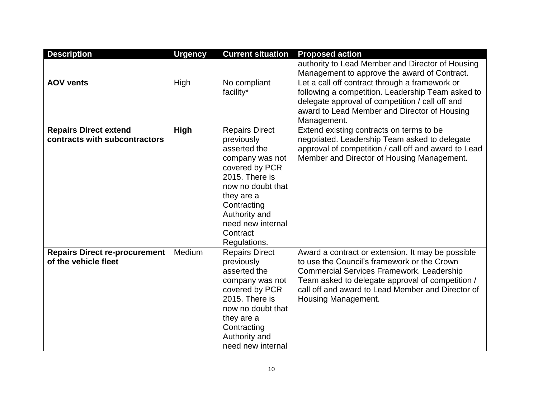| <b>Description</b>                                            | <b>Urgency</b> | <b>Current situation</b>                                                                                                                                                                                                       | <b>Proposed action</b>                                                                                                                                                                                                                                                               |
|---------------------------------------------------------------|----------------|--------------------------------------------------------------------------------------------------------------------------------------------------------------------------------------------------------------------------------|--------------------------------------------------------------------------------------------------------------------------------------------------------------------------------------------------------------------------------------------------------------------------------------|
|                                                               |                |                                                                                                                                                                                                                                | authority to Lead Member and Director of Housing                                                                                                                                                                                                                                     |
|                                                               |                |                                                                                                                                                                                                                                | Management to approve the award of Contract.                                                                                                                                                                                                                                         |
| <b>AOV vents</b>                                              | High           | No compliant<br>facility*                                                                                                                                                                                                      | Let a call off contract through a framework or<br>following a competition. Leadership Team asked to<br>delegate approval of competition / call off and<br>award to Lead Member and Director of Housing<br>Management.                                                                |
| <b>Repairs Direct extend</b><br>contracts with subcontractors | <b>High</b>    | <b>Repairs Direct</b><br>previously<br>asserted the<br>company was not<br>covered by PCR<br>2015. There is<br>now no doubt that<br>they are a<br>Contracting<br>Authority and<br>need new internal<br>Contract<br>Regulations. | Extend existing contracts on terms to be<br>negotiated. Leadership Team asked to delegate<br>approval of competition / call off and award to Lead<br>Member and Director of Housing Management.                                                                                      |
| <b>Repairs Direct re-procurement</b><br>of the vehicle fleet  | Medium         | <b>Repairs Direct</b><br>previously<br>asserted the<br>company was not<br>covered by PCR<br>2015. There is<br>now no doubt that<br>they are a<br>Contracting<br>Authority and<br>need new internal                             | Award a contract or extension. It may be possible<br>to use the Council's framework or the Crown<br><b>Commercial Services Framework. Leadership</b><br>Team asked to delegate approval of competition /<br>call off and award to Lead Member and Director of<br>Housing Management. |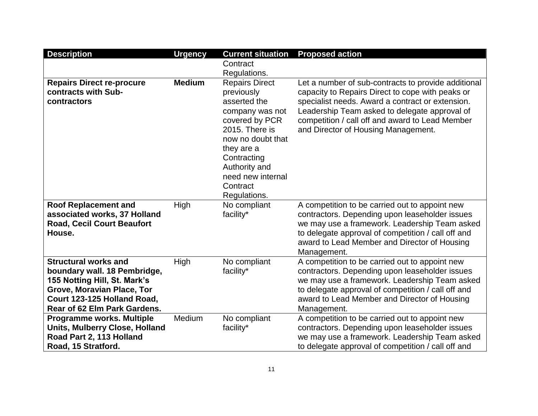| <b>Description</b>                    | <b>Urgency</b> | <b>Current situation</b>     | <b>Proposed action</b>                              |
|---------------------------------------|----------------|------------------------------|-----------------------------------------------------|
|                                       |                | Contract                     |                                                     |
|                                       |                | Regulations.                 |                                                     |
| <b>Repairs Direct re-procure</b>      | <b>Medium</b>  | <b>Repairs Direct</b>        | Let a number of sub-contracts to provide additional |
| contracts with Sub-                   |                | previously                   | capacity to Repairs Direct to cope with peaks or    |
| contractors                           |                | asserted the                 | specialist needs. Award a contract or extension.    |
|                                       |                | company was not              | Leadership Team asked to delegate approval of       |
|                                       |                | covered by PCR               | competition / call off and award to Lead Member     |
|                                       |                | 2015. There is               | and Director of Housing Management.                 |
|                                       |                | now no doubt that            |                                                     |
|                                       |                | they are a                   |                                                     |
|                                       |                | Contracting                  |                                                     |
|                                       |                | Authority and                |                                                     |
|                                       |                | need new internal            |                                                     |
|                                       |                | Contract                     |                                                     |
| <b>Roof Replacement and</b>           | High           | Regulations.<br>No compliant | A competition to be carried out to appoint new      |
| associated works, 37 Holland          |                | facility*                    | contractors. Depending upon leaseholder issues      |
| <b>Road, Cecil Court Beaufort</b>     |                |                              | we may use a framework. Leadership Team asked       |
| House.                                |                |                              | to delegate approval of competition / call off and  |
|                                       |                |                              | award to Lead Member and Director of Housing        |
|                                       |                |                              | Management.                                         |
| <b>Structural works and</b>           | High           | No compliant                 | A competition to be carried out to appoint new      |
| boundary wall. 18 Pembridge,          |                | facility*                    | contractors. Depending upon leaseholder issues      |
| 155 Notting Hill, St. Mark's          |                |                              | we may use a framework. Leadership Team asked       |
| Grove, Moravian Place, Tor            |                |                              | to delegate approval of competition / call off and  |
| Court 123-125 Holland Road,           |                |                              | award to Lead Member and Director of Housing        |
| Rear of 62 Elm Park Gardens.          |                |                              | Management.                                         |
| Programme works. Multiple             | Medium         | No compliant                 | A competition to be carried out to appoint new      |
| <b>Units, Mulberry Close, Holland</b> |                | facility*                    | contractors. Depending upon leaseholder issues      |
| Road Part 2, 113 Holland              |                |                              | we may use a framework. Leadership Team asked       |
| Road, 15 Stratford.                   |                |                              | to delegate approval of competition / call off and  |